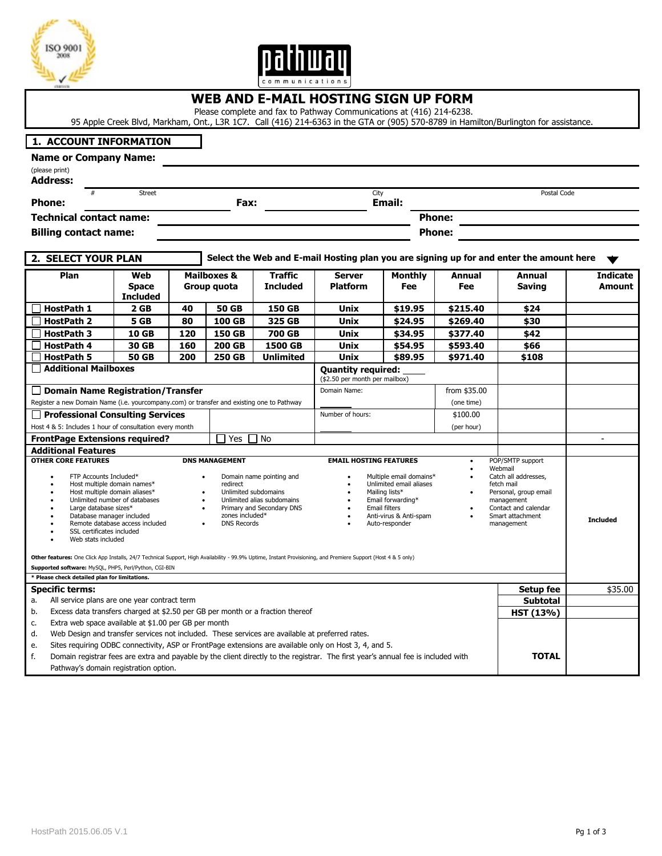



## **WEB AND E-MAIL HOSTING SIGN UP FORM**

Please complete and fax to Pathway Communications at (416) 214-6238.

95 Apple Creek Blvd, Markham, Ont., L3R 1C7. Call (416) 214-6363 in the GTA or (905) 570-8789 in Hamilton/Burlington for assistance.

## **1. ACCOUNT INFORMATION**

| <b>Name or Company Name:</b>      |  |        |      |               |             |  |  |  |  |  |
|-----------------------------------|--|--------|------|---------------|-------------|--|--|--|--|--|
| (please print)<br><b>Address:</b> |  |        |      |               |             |  |  |  |  |  |
|                                   |  | Street |      | City          | Postal Code |  |  |  |  |  |
| <b>Phone:</b>                     |  |        | Fax: | Email:        |             |  |  |  |  |  |
| <b>Technical contact name:</b>    |  |        |      | <b>Phone:</b> |             |  |  |  |  |  |
| <b>Billing contact name:</b>      |  |        |      | <b>Phone:</b> |             |  |  |  |  |  |

| 2. SELECT YOUR PLAN                                                                                                                                                                                                                                                                                                                                                                                                                        |                                                                                                                                                                                                                                                                                                      | Select the Web and E-mail Hosting plan you are signing up for and enter the amount here<br>$\blacktriangledown$ |                                                                                                                                                                                                                                                                                                                                                                                                                                                                   |                                   |                                                             |                                                                                                                                                                    |                      |                                |                                  |  |  |
|--------------------------------------------------------------------------------------------------------------------------------------------------------------------------------------------------------------------------------------------------------------------------------------------------------------------------------------------------------------------------------------------------------------------------------------------|------------------------------------------------------------------------------------------------------------------------------------------------------------------------------------------------------------------------------------------------------------------------------------------------------|-----------------------------------------------------------------------------------------------------------------|-------------------------------------------------------------------------------------------------------------------------------------------------------------------------------------------------------------------------------------------------------------------------------------------------------------------------------------------------------------------------------------------------------------------------------------------------------------------|-----------------------------------|-------------------------------------------------------------|--------------------------------------------------------------------------------------------------------------------------------------------------------------------|----------------------|--------------------------------|----------------------------------|--|--|
| Plan                                                                                                                                                                                                                                                                                                                                                                                                                                       | Web<br><b>Space</b><br><b>Included</b>                                                                                                                                                                                                                                                               |                                                                                                                 | <b>Mailboxes &amp;</b><br>Group quota                                                                                                                                                                                                                                                                                                                                                                                                                             | <b>Traffic</b><br><b>Included</b> | <b>Server</b><br><b>Platform</b>                            | <b>Monthly</b><br>Fee                                                                                                                                              | <b>Annual</b><br>Fee | <b>Annual</b><br><b>Saving</b> | <b>Indicate</b><br><b>Amount</b> |  |  |
| HostPath 1                                                                                                                                                                                                                                                                                                                                                                                                                                 | 2 <sub>GB</sub>                                                                                                                                                                                                                                                                                      | 40                                                                                                              | <b>50 GB</b>                                                                                                                                                                                                                                                                                                                                                                                                                                                      | <b>150 GB</b>                     | Unix                                                        | \$19.95                                                                                                                                                            | \$215.40             | \$24                           |                                  |  |  |
| <b>HostPath 2</b>                                                                                                                                                                                                                                                                                                                                                                                                                          | 5 GB                                                                                                                                                                                                                                                                                                 | 80                                                                                                              | <b>100 GB</b>                                                                                                                                                                                                                                                                                                                                                                                                                                                     | 325 GB                            | Unix                                                        | \$24.95                                                                                                                                                            | \$269.40             | \$30                           |                                  |  |  |
| <b>HostPath 3</b>                                                                                                                                                                                                                                                                                                                                                                                                                          | <b>10 GB</b>                                                                                                                                                                                                                                                                                         | 120                                                                                                             | <b>150 GB</b>                                                                                                                                                                                                                                                                                                                                                                                                                                                     | <b>700 GB</b>                     | <b>Unix</b>                                                 | \$34.95                                                                                                                                                            | \$377.40             | \$42                           |                                  |  |  |
| HostPath 4                                                                                                                                                                                                                                                                                                                                                                                                                                 | 30 GB                                                                                                                                                                                                                                                                                                | 160                                                                                                             | 200 GB                                                                                                                                                                                                                                                                                                                                                                                                                                                            | 1500 GB                           | <b>Unix</b>                                                 | \$54.95                                                                                                                                                            | \$593.40             | \$66                           |                                  |  |  |
| <b>HostPath 5</b>                                                                                                                                                                                                                                                                                                                                                                                                                          | <b>50 GB</b>                                                                                                                                                                                                                                                                                         | 200                                                                                                             | <b>250 GB</b>                                                                                                                                                                                                                                                                                                                                                                                                                                                     | <b>Unlimited</b>                  | <b>Unix</b>                                                 | \$89.95                                                                                                                                                            | \$971.40             | \$108                          |                                  |  |  |
| <b>Additional Mailboxes</b>                                                                                                                                                                                                                                                                                                                                                                                                                |                                                                                                                                                                                                                                                                                                      |                                                                                                                 |                                                                                                                                                                                                                                                                                                                                                                                                                                                                   |                                   | <b>Quantity required:</b><br>(\$2.50 per month per mailbox) |                                                                                                                                                                    |                      |                                |                                  |  |  |
|                                                                                                                                                                                                                                                                                                                                                                                                                                            | <b>Domain Name Registration/Transfer</b>                                                                                                                                                                                                                                                             |                                                                                                                 |                                                                                                                                                                                                                                                                                                                                                                                                                                                                   |                                   |                                                             |                                                                                                                                                                    | from \$35.00         |                                |                                  |  |  |
| Register a new Domain Name (i.e. yourcompany.com) or transfer and existing one to Pathway                                                                                                                                                                                                                                                                                                                                                  |                                                                                                                                                                                                                                                                                                      |                                                                                                                 |                                                                                                                                                                                                                                                                                                                                                                                                                                                                   |                                   |                                                             |                                                                                                                                                                    | (one time)           |                                |                                  |  |  |
|                                                                                                                                                                                                                                                                                                                                                                                                                                            | <b>Professional Consulting Services</b>                                                                                                                                                                                                                                                              |                                                                                                                 |                                                                                                                                                                                                                                                                                                                                                                                                                                                                   |                                   |                                                             |                                                                                                                                                                    | \$100.00             |                                |                                  |  |  |
|                                                                                                                                                                                                                                                                                                                                                                                                                                            | Host 4 & 5: Includes 1 hour of consultation every month                                                                                                                                                                                                                                              |                                                                                                                 |                                                                                                                                                                                                                                                                                                                                                                                                                                                                   |                                   |                                                             |                                                                                                                                                                    | (per hour)           |                                |                                  |  |  |
| <b>FrontPage Extensions required?</b>                                                                                                                                                                                                                                                                                                                                                                                                      | Yes<br>$\mathbf{L}$                                                                                                                                                                                                                                                                                  | No                                                                                                              |                                                                                                                                                                                                                                                                                                                                                                                                                                                                   |                                   |                                                             |                                                                                                                                                                    |                      |                                |                                  |  |  |
| <b>Additional Features</b>                                                                                                                                                                                                                                                                                                                                                                                                                 |                                                                                                                                                                                                                                                                                                      |                                                                                                                 |                                                                                                                                                                                                                                                                                                                                                                                                                                                                   |                                   |                                                             |                                                                                                                                                                    |                      |                                |                                  |  |  |
| <b>OTHER CORE FEATURES</b><br>FTP Accounts Included*<br>$\bullet$<br>Host multiple domain names*<br>Host multiple domain aliases*<br>$\bullet$<br>Unlimited number of databases<br>Large database sizes*<br>٠<br>Database manager included<br>Remote database access included<br>SSL certificates included<br>Web stats included<br>Supported software: MySQL, PHP5, Perl/Python, CGI-BIN<br>* Please check detailed plan for limitations. | <b>DNS MANAGEMENT</b><br>redirect<br>Unlimited subdomains<br>$\bullet$<br>$\bullet$<br>zones included*<br><b>DNS Records</b>                                                                                                                                                                         | Domain name pointing and<br>Unlimited alias subdomains<br>Primary and Secondary DNS                             | <b>EMAIL HOSTING FEATURES</b><br>$\bullet$<br>Multiple email domains*<br>$\bullet$<br>Unlimited email aliases<br>Mailing lists*<br>$\bullet$<br>$\bullet$<br>Email forwarding*<br>$\bullet$<br>Email filters<br>$\bullet$<br>Anti-virus & Anti-spam<br>$\bullet$<br>$\bullet$<br>Auto-responder<br>Other features: One Click App Installs, 24/7 Technical Support, High Availability - 99.9% Uptime, Instant Provisioning, and Premiere Support (Host 4 & 5 only) |                                   |                                                             | POP/SMTP support<br>Webmail<br>Catch all addresses,<br>fetch mail<br>Personal, group email<br>management<br>Contact and calendar<br>Smart attachment<br>management | <b>Included</b>      |                                |                                  |  |  |
| <b>Specific terms:</b>                                                                                                                                                                                                                                                                                                                                                                                                                     |                                                                                                                                                                                                                                                                                                      | <b>Setup fee</b>                                                                                                | \$35.00                                                                                                                                                                                                                                                                                                                                                                                                                                                           |                                   |                                                             |                                                                                                                                                                    |                      |                                |                                  |  |  |
| All service plans are one year contract term<br>a.                                                                                                                                                                                                                                                                                                                                                                                         | <b>Subtotal</b><br>HST (13%)                                                                                                                                                                                                                                                                         |                                                                                                                 |                                                                                                                                                                                                                                                                                                                                                                                                                                                                   |                                   |                                                             |                                                                                                                                                                    |                      |                                |                                  |  |  |
| b.                                                                                                                                                                                                                                                                                                                                                                                                                                         | Excess data transfers charged at \$2.50 per GB per month or a fraction thereof                                                                                                                                                                                                                       |                                                                                                                 |                                                                                                                                                                                                                                                                                                                                                                                                                                                                   |                                   |                                                             |                                                                                                                                                                    |                      |                                |                                  |  |  |
| c.                                                                                                                                                                                                                                                                                                                                                                                                                                         | Extra web space available at \$1.00 per GB per month                                                                                                                                                                                                                                                 |                                                                                                                 |                                                                                                                                                                                                                                                                                                                                                                                                                                                                   |                                   |                                                             |                                                                                                                                                                    |                      |                                |                                  |  |  |
| d.                                                                                                                                                                                                                                                                                                                                                                                                                                         | Web Design and transfer services not included. These services are available at preferred rates.                                                                                                                                                                                                      |                                                                                                                 |                                                                                                                                                                                                                                                                                                                                                                                                                                                                   |                                   |                                                             |                                                                                                                                                                    |                      |                                |                                  |  |  |
| e.<br>f.                                                                                                                                                                                                                                                                                                                                                                                                                                   | Sites requiring ODBC connectivity, ASP or FrontPage extensions are available only on Host 3, 4, and 5.<br><b>TOTAL</b><br>Domain registrar fees are extra and payable by the client directly to the registrar. The first year's annual fee is included with<br>Pathway's domain registration option. |                                                                                                                 |                                                                                                                                                                                                                                                                                                                                                                                                                                                                   |                                   |                                                             |                                                                                                                                                                    |                      |                                |                                  |  |  |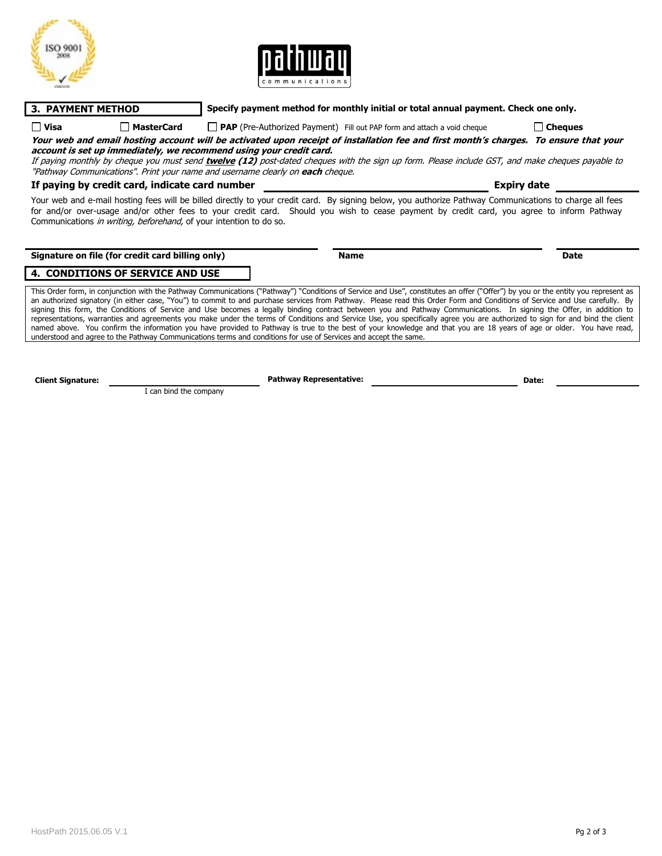



**3. PAYMENT METHOD Specify payment method for monthly initial or total annual payment. Check one only.**

# **Visa PAP (Pre-Authorized Payment)** Fill out PAP form and attach a void cheque **Cheques**

**Your web and email hosting account will be activated upon receipt of installation fee and first month's charges. To ensure that your account is set up immediately, we recommend using your credit card.**

If paying monthly by cheque you must send **twelve (12)** post-dated cheques with the sign up form. Please include GST, and make cheques payable to "Pathway Communications". Print your name and username clearly on **each** cheque.

#### **If paying by credit card, indicate card number Expiry date**

Your web and e-mail hosting fees will be billed directly to your credit card. By signing below, you authorize Pathway Communications to charge all fees for and/or over-usage and/or other fees to your credit card. Should you wish to cease payment by credit card, you agree to inform Pathway Communications in writing, beforehand, of your intention to do so.

**Signature on file (for credit card billing only) Name Date Date Date Date** 

### **4. CONDITIONS OF SERVICE AND USE**

This Order form, in conjunction with the Pathway Communications ("Pathway") "Conditions of Service and Use", constitutes an offer ("Offer") by you or the entity you represent as an authorized signatory (in either case, "You") to commit to and purchase services from Pathway. Please read this Order Form and Conditions of Service and Use carefully. By signing this form, the Conditions of Service and Use becomes a legally binding contract between you and Pathway Communications. In signing the Offer, in addition to representations, warranties and agreements you make under the terms of Conditions and Service Use, you specifically agree you are authorized to sign for and bind the client named above. You confirm the information you have provided to Pathway is true to the best of your knowledge and that you are 18 years of age or older. You have read, understood and agree to the Pathway Communications terms and conditions for use of Services and accept the same.

**Client Signature: Pathway Representative: Date:** I can bind the company